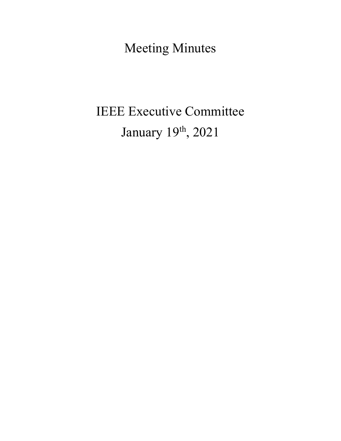Meeting Minutes

# IEEE Executive Committee January 19th, 2021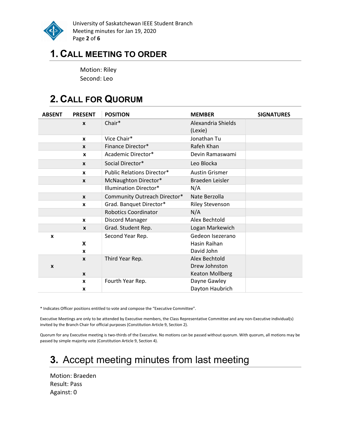

University of Saskatchewan IEEE Student Branch Meeting minutes for Jan 19, 2020 Page 2 of 6

### 1. CALL MEETING TO ORDER

Motion: Riley Second: Leo

# 2. CALL FOR QUORUM

| <b>ABSENT</b> | <b>PRESENT</b>   | <b>POSITION</b>                   | <b>MEMBER</b>                    | <b>SIGNATURES</b> |
|---------------|------------------|-----------------------------------|----------------------------------|-------------------|
|               | $\mathbf{x}$     | Chair*                            | Alexandria Shields<br>(Lexie)    |                   |
|               | $\mathbf{x}$     | Vice Chair*                       | Jonathan Tu                      |                   |
|               | $\mathbf{x}$     | Finance Director*                 | Rafeh Khan                       |                   |
|               | X                | Academic Director*                | Devin Ramaswami                  |                   |
|               | $\mathbf{x}$     | Social Director*                  | Leo Blocka                       |                   |
|               | $\mathbf{x}$     | <b>Public Relations Director*</b> | <b>Austin Grismer</b>            |                   |
|               | $\mathbf{x}$     | McNaughton Director*              | Braeden Leisler                  |                   |
|               |                  | <b>Illumination Director*</b>     | N/A                              |                   |
|               | $\boldsymbol{x}$ | Community Outreach Director*      | Nate Berzolla                    |                   |
|               | $\mathbf{x}$     | Grad. Banquet Director*           | <b>Riley Stevenson</b>           |                   |
|               |                  | <b>Robotics Coordinator</b>       | N/A                              |                   |
|               | $\mathbf{x}$     | Discord Manager                   | Alex Bechtold                    |                   |
|               | $\mathbf{x}$     | Grad. Student Rep.                | Logan Markewich                  |                   |
| X             | X                | Second Year Rep.                  | Gedeon Isezerano<br>Hasin Raihan |                   |
|               | $\mathbf{x}$     |                                   | David John                       |                   |
|               | $\mathbf{x}$     | Third Year Rep.                   | Alex Bechtold                    |                   |
| X             |                  |                                   | Drew Johnston                    |                   |
|               | $\boldsymbol{x}$ |                                   | <b>Keaton Mollberg</b>           |                   |
|               | $\mathbf{x}$     | Fourth Year Rep.                  | Dayne Gawley                     |                   |
|               | X                |                                   | Dayton Haubrich                  |                   |

\* Indicates Officer positions entitled to vote and compose the "Executive Committee".

Executive Meetings are only to be attended by Executive members, the Class Representative Committee and any non-Executive individual(s) invited by the Branch Chair for official purposes (Constitution Article 9, Section 2).

Quorum for any Executive meeting is two-thirds of the Executive. No motions can be passed without quorum. With quorum, all motions may be passed by simple majority vote (Constitution Article 9, Section 4).

# 3. Accept meeting minutes from last meeting

Motion: Braeden Result: Pass Against: 0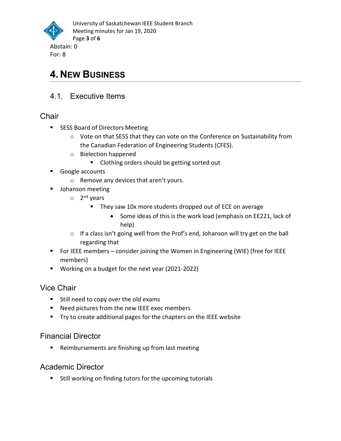

### 4. NEW BUSINESS

4.1. Executive Items

#### **Chair**

- SESS Board of Directors Meeting
	- o Vote on that SESS that they can vote on the Conference on Sustainability from the Canadian Federation of Engineering Students (CFES).
	- o Bielection happened
		- **EXECLORER** Clothing orders should be getting sorted out
- Google accounts
	- o Remove any devices that aren't yours.
- **Johanson meeting** 
	- o 2<sup>nd</sup> years
		- They saw 10x more students dropped out of ECE on average
			- Some ideas of this is the work load (emphasis on EE221, lack of help)
	- o If a class isn't going well from the Prof's end, Johanson will try get on the ball regarding that
- For IEEE members consider joining the Women in Engineering (WIE) (free for IEEE members)
- Working on a budget for the next year (2021-2022)

#### Vice Chair

- **Still need to copy over the old exams**
- Need pictures from the new IEEE exec members
- Try to create additional pages for the chapters on the IEEE website

#### Financial Director

■ Reimbursements are finishing up from last meeting

#### Academic Director

■ Still working on finding tutors for the upcoming tutorials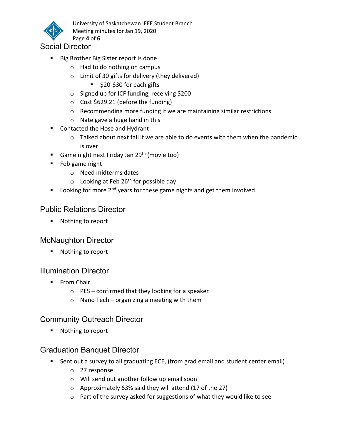

University of Saskatchewan IEEE Student Branch Meeting minutes for Jan 19, 2020 Page 4 of 6

Social Director

- Big Brother Big Sister report is done
	- o Had to do nothing on campus
	- $\circ$  Limit of 30 gifts for delivery (they delivered)
		- \$20-\$30 for each gifts
	- o Signed up for ICF funding, receiving \$200
	- $\circ$  Cost \$629.21 (before the funding)
	- o Recommending more funding if we are maintaining similar restrictions
	- o Nate gave a huge hand in this
- Contacted the Hose and Hydrant
	- o Talked about next fall if we are able to do events with them when the pandemic is over
- Game night next Friday Jan 29<sup>th</sup> (movie too)
- **Feb game night** 
	- o Need midterms dates
	- $\circ$  Looking at Feb 26<sup>th</sup> for possible day
- Looking for more  $2^{nd}$  years for these game nights and get them involved

#### Public Relations Director

■ Nothing to report

#### McNaughton Director

■ Nothing to report

#### Illumination Director

- **From Chair** 
	- $\circ$  PES confirmed that they looking for a speaker
	- o Nano Tech organizing a meeting with them

#### Community Outreach Director

■ Nothing to report

#### Graduation Banquet Director

- Sent out a survey to all graduating ECE, (from grad email and student center email)
	- o 27 response
	- o Will send out another follow up email soon
	- o Approximately 63% said they will attend (17 of the 27)
	- o Part of the survey asked for suggestions of what they would like to see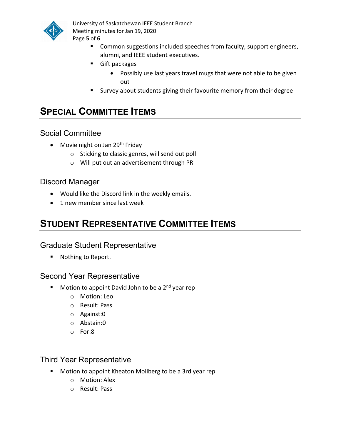

University of Saskatchewan IEEE Student Branch Meeting minutes for Jan 19, 2020 Page 5 of 6

- Common suggestions included speeches from faculty, support engineers, alumni, and IEEE student executives.
- Gift packages
	- Possibly use last years travel mugs that were not able to be given out
- Survey about students giving their favourite memory from their degree

### SPECIAL COMMITTEE ITEMS

#### Social Committee

- Movie night on Jan 29<sup>th</sup> Friday
	- o Sticking to classic genres, will send out poll
	- o Will put out an advertisement through PR

#### Discord Manager

- Would like the Discord link in the weekly emails.
- 1 new member since last week

### STUDENT REPRESENTATIVE COMMITTEE ITEMS

#### Graduate Student Representative

■ Nothing to Report.

#### Second Year Representative

- Motion to appoint David John to be a 2<sup>nd</sup> year rep
	- o Motion: Leo
	- o Result: Pass
	- o Against:0
	- o Abstain:0
	- o For:8

#### Third Year Representative

- **Motion to appoint Kheaton Mollberg to be a 3rd year rep** 
	- o Motion: Alex
	- o Result: Pass